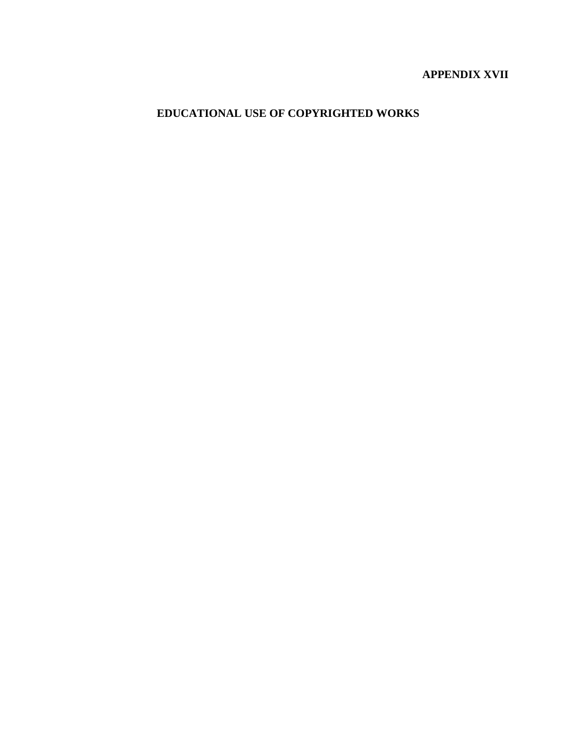# **APPENDIX XVII**

**EDUCATIONAL USE OF COPYRIGHTED WORKS**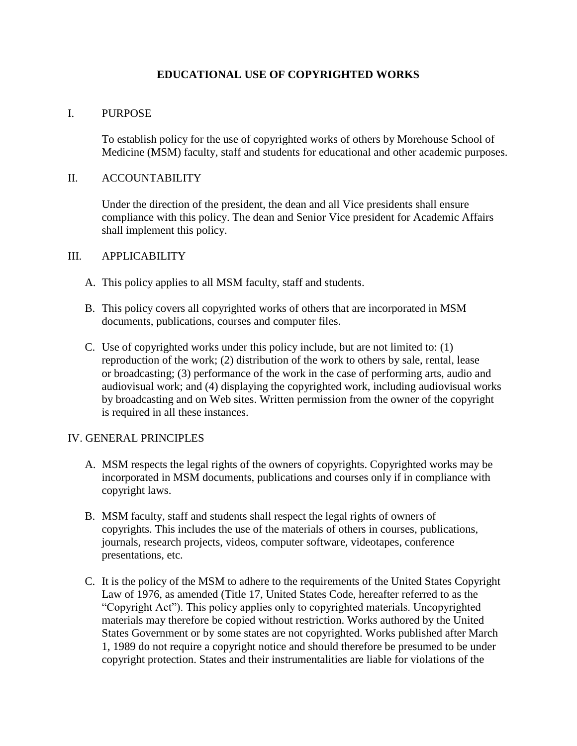# **EDUCATIONAL USE OF COPYRIGHTED WORKS**

# I. PURPOSE

To establish policy for the use of copyrighted works of others by Morehouse School of Medicine (MSM) faculty, staff and students for educational and other academic purposes.

#### II. ACCOUNTABILITY

Under the direction of the president, the dean and all Vice presidents shall ensure compliance with this policy. The dean and Senior Vice president for Academic Affairs shall implement this policy.

# III. APPLICABILITY

- A. This policy applies to all MSM faculty, staff and students.
- B. This policy covers all copyrighted works of others that are incorporated in MSM documents, publications, courses and computer files.
- C. Use of copyrighted works under this policy include, but are not limited to: (1) reproduction of the work; (2) distribution of the work to others by sale, rental, lease or broadcasting; (3) performance of the work in the case of performing arts, audio and audiovisual work; and (4) displaying the copyrighted work, including audiovisual works by broadcasting and on Web sites. Written permission from the owner of the copyright is required in all these instances.

#### IV. GENERAL PRINCIPLES

- A. MSM respects the legal rights of the owners of copyrights. Copyrighted works may be incorporated in MSM documents, publications and courses only if in compliance with copyright laws.
- B. MSM faculty, staff and students shall respect the legal rights of owners of copyrights. This includes the use of the materials of others in courses, publications, journals, research projects, videos, computer software, videotapes, conference presentations, etc.
- C. It is the policy of the MSM to adhere to the requirements of the United States Copyright Law of 1976, as amended (Title 17, United States Code, hereafter referred to as the "Copyright Act"). This policy applies only to copyrighted materials. Uncopyrighted materials may therefore be copied without restriction. Works authored by the United States Government or by some states are not copyrighted. Works published after March 1, 1989 do not require a copyright notice and should therefore be presumed to be under copyright protection. States and their instrumentalities are liable for violations of the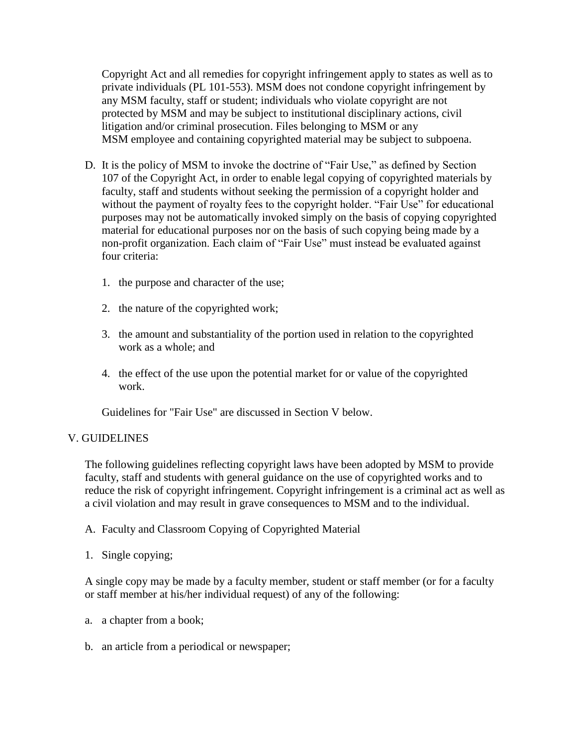Copyright Act and all remedies for copyright infringement apply to states as well as to private individuals (PL 101-553). MSM does not condone copyright infringement by any MSM faculty, staff or student; individuals who violate copyright are not protected by MSM and may be subject to institutional disciplinary actions, civil litigation and/or criminal prosecution. Files belonging to MSM or any MSM employee and containing copyrighted material may be subject to subpoena.

- D. It is the policy of MSM to invoke the doctrine of "Fair Use," as defined by Section 107 of the Copyright Act, in order to enable legal copying of copyrighted materials by faculty, staff and students without seeking the permission of a copyright holder and without the payment of royalty fees to the copyright holder. "Fair Use" for educational purposes may not be automatically invoked simply on the basis of copying copyrighted material for educational purposes nor on the basis of such copying being made by a non-profit organization. Each claim of "Fair Use" must instead be evaluated against four criteria:
	- 1. the purpose and character of the use;
	- 2. the nature of the copyrighted work;
	- 3. the amount and substantiality of the portion used in relation to the copyrighted work as a whole; and
	- 4. the effect of the use upon the potential market for or value of the copyrighted work.

Guidelines for "Fair Use" are discussed in Section V below.

#### V. GUIDELINES

The following guidelines reflecting copyright laws have been adopted by MSM to provide faculty, staff and students with general guidance on the use of copyrighted works and to reduce the risk of copyright infringement. Copyright infringement is a criminal act as well as a civil violation and may result in grave consequences to MSM and to the individual.

- A. Faculty and Classroom Copying of Copyrighted Material
- 1. Single copying;

A single copy may be made by a faculty member, student or staff member (or for a faculty or staff member at his/her individual request) of any of the following:

- a. a chapter from a book;
- b. an article from a periodical or newspaper;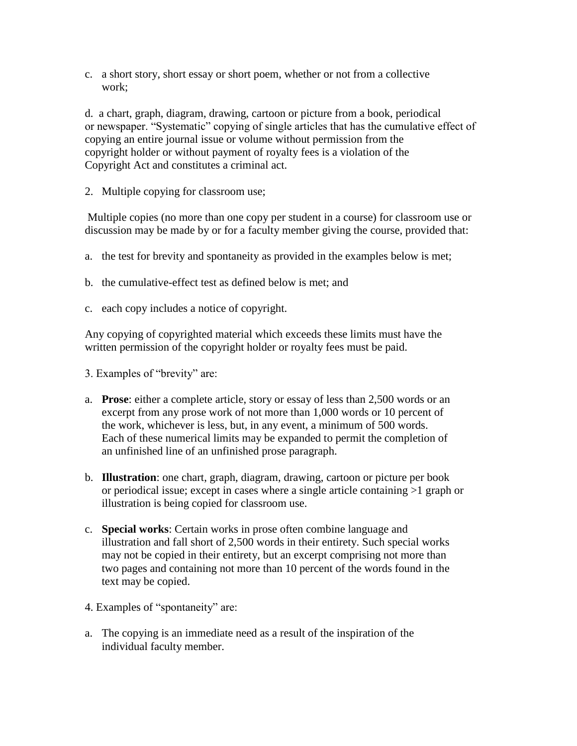c. a short story, short essay or short poem, whether or not from a collective work;

d. a chart, graph, diagram, drawing, cartoon or picture from a book, periodical or newspaper. "Systematic" copying of single articles that has the cumulative effect of copying an entire journal issue or volume without permission from the copyright holder or without payment of royalty fees is a violation of the Copyright Act and constitutes a criminal act.

2. Multiple copying for classroom use;

Multiple copies (no more than one copy per student in a course) for classroom use or discussion may be made by or for a faculty member giving the course, provided that:

- a. the test for brevity and spontaneity as provided in the examples below is met;
- b. the cumulative-effect test as defined below is met; and
- c. each copy includes a notice of copyright.

Any copying of copyrighted material which exceeds these limits must have the written permission of the copyright holder or royalty fees must be paid.

3. Examples of "brevity" are:

- a. **Prose**: either a complete article, story or essay of less than 2,500 words or an excerpt from any prose work of not more than 1,000 words or 10 percent of the work, whichever is less, but, in any event, a minimum of 500 words. Each of these numerical limits may be expanded to permit the completion of an unfinished line of an unfinished prose paragraph.
- b. **Illustration**: one chart, graph, diagram, drawing, cartoon or picture per book or periodical issue; except in cases where a single article containing >1 graph or illustration is being copied for classroom use.
- c. **Special works**: Certain works in prose often combine language and illustration and fall short of 2,500 words in their entirety. Such special works may not be copied in their entirety, but an excerpt comprising not more than two pages and containing not more than 10 percent of the words found in the text may be copied.
- 4. Examples of "spontaneity" are:
- a. The copying is an immediate need as a result of the inspiration of the individual faculty member.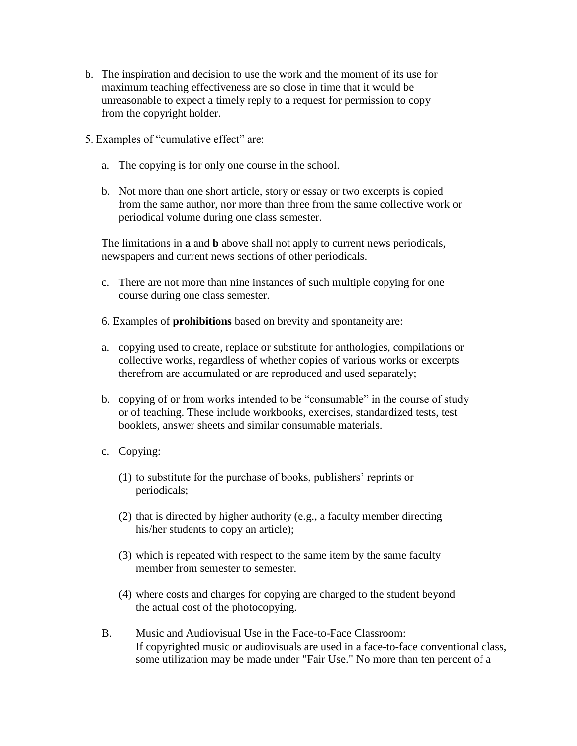- b. The inspiration and decision to use the work and the moment of its use for maximum teaching effectiveness are so close in time that it would be unreasonable to expect a timely reply to a request for permission to copy from the copyright holder.
- 5. Examples of "cumulative effect" are:
	- a. The copying is for only one course in the school.
	- b. Not more than one short article, story or essay or two excerpts is copied from the same author, nor more than three from the same collective work or periodical volume during one class semester.

The limitations in **a** and **b** above shall not apply to current news periodicals, newspapers and current news sections of other periodicals.

- c. There are not more than nine instances of such multiple copying for one course during one class semester.
- 6. Examples of **prohibitions** based on brevity and spontaneity are:
- a. copying used to create, replace or substitute for anthologies, compilations or collective works, regardless of whether copies of various works or excerpts therefrom are accumulated or are reproduced and used separately;
- b. copying of or from works intended to be "consumable" in the course of study or of teaching. These include workbooks, exercises, standardized tests, test booklets, answer sheets and similar consumable materials.
- c. Copying:
	- (1) to substitute for the purchase of books, publishers' reprints or periodicals;
	- (2) that is directed by higher authority (e.g., a faculty member directing his/her students to copy an article);
	- (3) which is repeated with respect to the same item by the same faculty member from semester to semester.
	- (4) where costs and charges for copying are charged to the student beyond the actual cost of the photocopying.
- B. Music and Audiovisual Use in the Face-to-Face Classroom: If copyrighted music or audiovisuals are used in a face-to-face conventional class, some utilization may be made under "Fair Use." No more than ten percent of a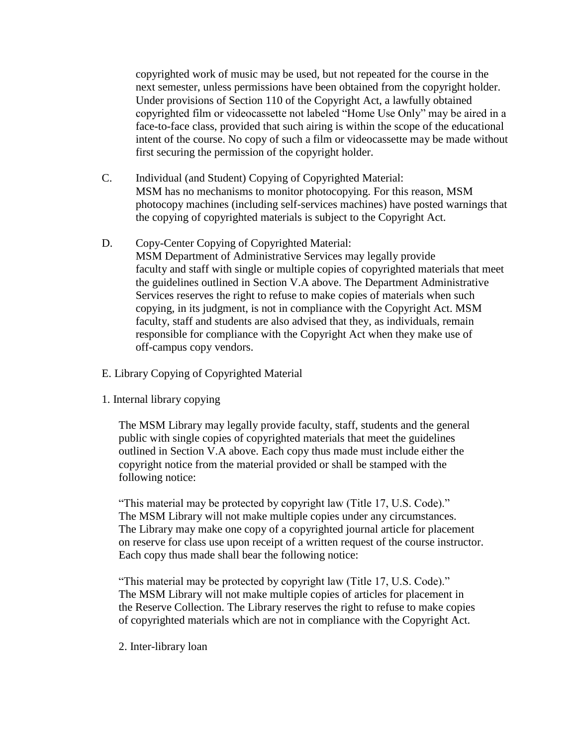copyrighted work of music may be used, but not repeated for the course in the next semester, unless permissions have been obtained from the copyright holder. Under provisions of Section 110 of the Copyright Act, a lawfully obtained copyrighted film or videocassette not labeled "Home Use Only" may be aired in a face-to-face class, provided that such airing is within the scope of the educational intent of the course. No copy of such a film or videocassette may be made without first securing the permission of the copyright holder.

- C. Individual (and Student) Copying of Copyrighted Material: MSM has no mechanisms to monitor photocopying. For this reason, MSM photocopy machines (including self-services machines) have posted warnings that the copying of copyrighted materials is subject to the Copyright Act.
- D. Copy-Center Copying of Copyrighted Material: MSM Department of Administrative Services may legally provide faculty and staff with single or multiple copies of copyrighted materials that meet the guidelines outlined in Section V.A above. The Department Administrative Services reserves the right to refuse to make copies of materials when such copying, in its judgment, is not in compliance with the Copyright Act. MSM faculty, staff and students are also advised that they, as individuals, remain responsible for compliance with the Copyright Act when they make use of off-campus copy vendors.
- E. Library Copying of Copyrighted Material
- 1. Internal library copying

The MSM Library may legally provide faculty, staff, students and the general public with single copies of copyrighted materials that meet the guidelines outlined in Section V.A above. Each copy thus made must include either the copyright notice from the material provided or shall be stamped with the following notice:

"This material may be protected by copyright law (Title 17, U.S. Code)." The MSM Library will not make multiple copies under any circumstances. The Library may make one copy of a copyrighted journal article for placement on reserve for class use upon receipt of a written request of the course instructor. Each copy thus made shall bear the following notice:

"This material may be protected by copyright law (Title 17, U.S. Code)." The MSM Library will not make multiple copies of articles for placement in the Reserve Collection. The Library reserves the right to refuse to make copies of copyrighted materials which are not in compliance with the Copyright Act.

2. Inter-library loan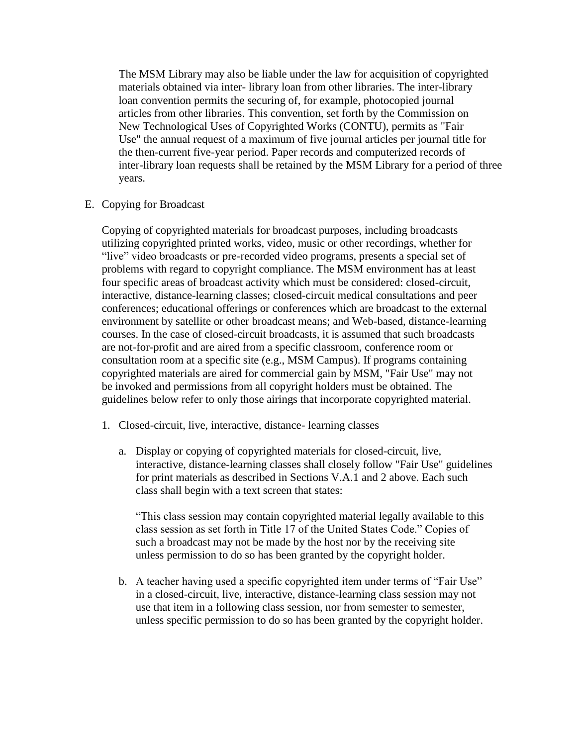The MSM Library may also be liable under the law for acquisition of copyrighted materials obtained via inter- library loan from other libraries. The inter-library loan convention permits the securing of, for example, photocopied journal articles from other libraries. This convention, set forth by the Commission on New Technological Uses of Copyrighted Works (CONTU), permits as "Fair Use" the annual request of a maximum of five journal articles per journal title for the then-current five-year period. Paper records and computerized records of inter-library loan requests shall be retained by the MSM Library for a period of three years.

E. Copying for Broadcast

Copying of copyrighted materials for broadcast purposes, including broadcasts utilizing copyrighted printed works, video, music or other recordings, whether for "live" video broadcasts or pre-recorded video programs, presents a special set of problems with regard to copyright compliance. The MSM environment has at least four specific areas of broadcast activity which must be considered: closed-circuit, interactive, distance-learning classes; closed-circuit medical consultations and peer conferences; educational offerings or conferences which are broadcast to the external environment by satellite or other broadcast means; and Web-based, distance-learning courses. In the case of closed-circuit broadcasts, it is assumed that such broadcasts are not-for-profit and are aired from a specific classroom, conference room or consultation room at a specific site (e.g., MSM Campus). If programs containing copyrighted materials are aired for commercial gain by MSM, "Fair Use" may not be invoked and permissions from all copyright holders must be obtained. The guidelines below refer to only those airings that incorporate copyrighted material.

- 1. Closed-circuit, live, interactive, distance- learning classes
	- a. Display or copying of copyrighted materials for closed-circuit, live, interactive, distance-learning classes shall closely follow "Fair Use" guidelines for print materials as described in Sections V.A.1 and 2 above. Each such class shall begin with a text screen that states:

"This class session may contain copyrighted material legally available to this class session as set forth in Title 17 of the United States Code." Copies of such a broadcast may not be made by the host nor by the receiving site unless permission to do so has been granted by the copyright holder.

b. A teacher having used a specific copyrighted item under terms of "Fair Use" in a closed-circuit, live, interactive, distance-learning class session may not use that item in a following class session, nor from semester to semester, unless specific permission to do so has been granted by the copyright holder.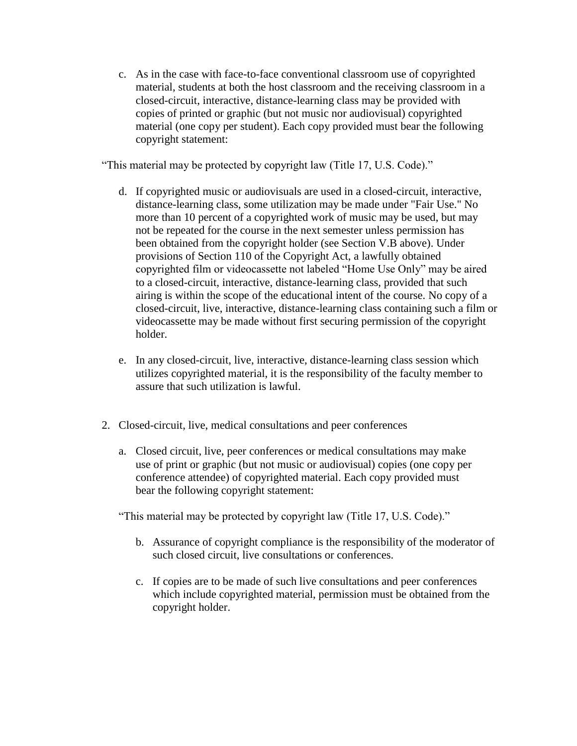c. As in the case with face-to-face conventional classroom use of copyrighted material, students at both the host classroom and the receiving classroom in a closed-circuit, interactive, distance-learning class may be provided with copies of printed or graphic (but not music nor audiovisual) copyrighted material (one copy per student). Each copy provided must bear the following copyright statement:

"This material may be protected by copyright law (Title 17, U.S. Code)."

- d. If copyrighted music or audiovisuals are used in a closed-circuit, interactive, distance-learning class, some utilization may be made under "Fair Use." No more than 10 percent of a copyrighted work of music may be used, but may not be repeated for the course in the next semester unless permission has been obtained from the copyright holder (see Section V.B above). Under provisions of Section 110 of the Copyright Act, a lawfully obtained copyrighted film or videocassette not labeled "Home Use Only" may be aired to a closed-circuit, interactive, distance-learning class, provided that such airing is within the scope of the educational intent of the course. No copy of a closed-circuit, live, interactive, distance-learning class containing such a film or videocassette may be made without first securing permission of the copyright holder.
- e. In any closed-circuit, live, interactive, distance-learning class session which utilizes copyrighted material, it is the responsibility of the faculty member to assure that such utilization is lawful.
- 2. Closed-circuit, live, medical consultations and peer conferences
	- a. Closed circuit, live, peer conferences or medical consultations may make use of print or graphic (but not music or audiovisual) copies (one copy per conference attendee) of copyrighted material. Each copy provided must bear the following copyright statement:

"This material may be protected by copyright law (Title 17, U.S. Code)."

- b. Assurance of copyright compliance is the responsibility of the moderator of such closed circuit, live consultations or conferences.
- c. If copies are to be made of such live consultations and peer conferences which include copyrighted material, permission must be obtained from the copyright holder.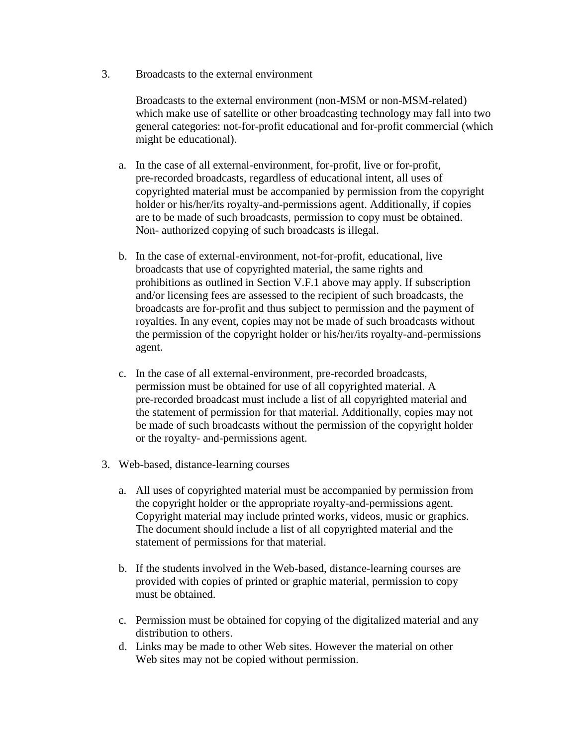3. Broadcasts to the external environment

Broadcasts to the external environment (non-MSM or non-MSM-related) which make use of satellite or other broadcasting technology may fall into two general categories: not-for-profit educational and for-profit commercial (which might be educational).

- a. In the case of all external-environment, for-profit, live or for-profit, pre-recorded broadcasts, regardless of educational intent, all uses of copyrighted material must be accompanied by permission from the copyright holder or his/her/its royalty-and-permissions agent. Additionally, if copies are to be made of such broadcasts, permission to copy must be obtained. Non- authorized copying of such broadcasts is illegal.
- b. In the case of external-environment, not-for-profit, educational, live broadcasts that use of copyrighted material, the same rights and prohibitions as outlined in Section V.F.1 above may apply. If subscription and/or licensing fees are assessed to the recipient of such broadcasts, the broadcasts are for-profit and thus subject to permission and the payment of royalties. In any event, copies may not be made of such broadcasts without the permission of the copyright holder or his/her/its royalty-and-permissions agent.
- c. In the case of all external-environment, pre-recorded broadcasts, permission must be obtained for use of all copyrighted material. A pre-recorded broadcast must include a list of all copyrighted material and the statement of permission for that material. Additionally, copies may not be made of such broadcasts without the permission of the copyright holder or the royalty- and-permissions agent.
- 3. Web-based, distance-learning courses
	- a. All uses of copyrighted material must be accompanied by permission from the copyright holder or the appropriate royalty-and-permissions agent. Copyright material may include printed works, videos, music or graphics. The document should include a list of all copyrighted material and the statement of permissions for that material.
	- b. If the students involved in the Web-based, distance-learning courses are provided with copies of printed or graphic material, permission to copy must be obtained.
	- c. Permission must be obtained for copying of the digitalized material and any distribution to others.
	- d. Links may be made to other Web sites. However the material on other Web sites may not be copied without permission.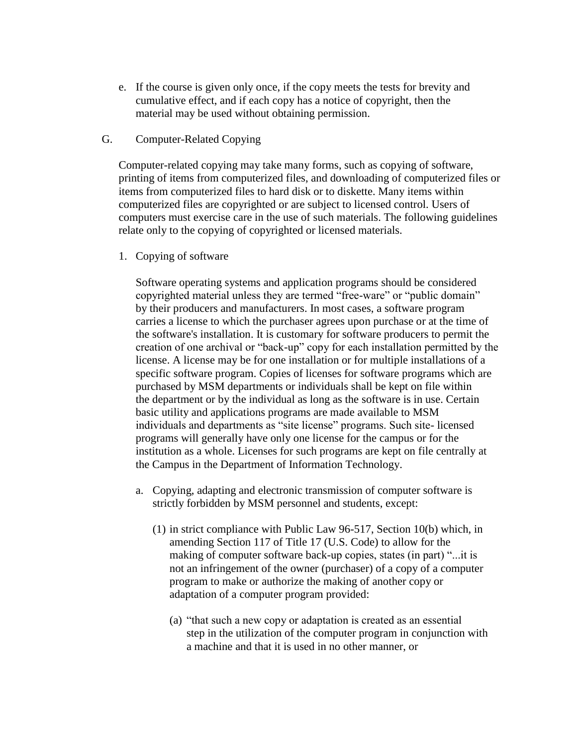- e. If the course is given only once, if the copy meets the tests for brevity and cumulative effect, and if each copy has a notice of copyright, then the material may be used without obtaining permission.
- G. Computer-Related Copying

Computer-related copying may take many forms, such as copying of software, printing of items from computerized files, and downloading of computerized files or items from computerized files to hard disk or to diskette. Many items within computerized files are copyrighted or are subject to licensed control. Users of computers must exercise care in the use of such materials. The following guidelines relate only to the copying of copyrighted or licensed materials.

1. Copying of software

Software operating systems and application programs should be considered copyrighted material unless they are termed "free-ware" or "public domain" by their producers and manufacturers. In most cases, a software program carries a license to which the purchaser agrees upon purchase or at the time of the software's installation. It is customary for software producers to permit the creation of one archival or "back-up" copy for each installation permitted by the license. A license may be for one installation or for multiple installations of a specific software program. Copies of licenses for software programs which are purchased by MSM departments or individuals shall be kept on file within the department or by the individual as long as the software is in use. Certain basic utility and applications programs are made available to MSM individuals and departments as "site license" programs. Such site- licensed programs will generally have only one license for the campus or for the institution as a whole. Licenses for such programs are kept on file centrally at the Campus in the Department of Information Technology.

- a. Copying, adapting and electronic transmission of computer software is strictly forbidden by MSM personnel and students, except:
	- (1) in strict compliance with Public Law 96-517, Section 10(b) which, in amending Section 117 of Title 17 (U.S. Code) to allow for the making of computer software back-up copies, states (in part) "...it is not an infringement of the owner (purchaser) of a copy of a computer program to make or authorize the making of another copy or adaptation of a computer program provided:
		- (a) "that such a new copy or adaptation is created as an essential step in the utilization of the computer program in conjunction with a machine and that it is used in no other manner, or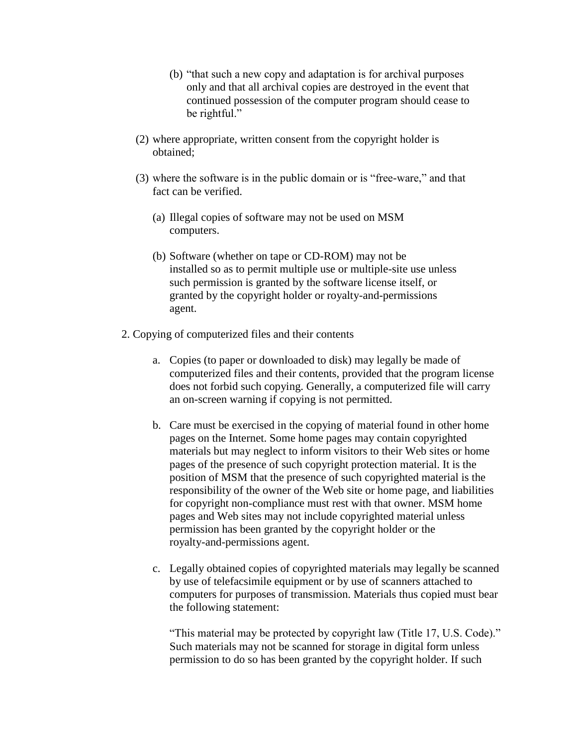- (b) "that such a new copy and adaptation is for archival purposes only and that all archival copies are destroyed in the event that continued possession of the computer program should cease to be rightful."
- (2) where appropriate, written consent from the copyright holder is obtained;
- (3) where the software is in the public domain or is "free-ware," and that fact can be verified.
	- (a) Illegal copies of software may not be used on MSM computers.
	- (b) Software (whether on tape or CD-ROM) may not be installed so as to permit multiple use or multiple-site use unless such permission is granted by the software license itself, or granted by the copyright holder or royalty-and-permissions agent.
- 2. Copying of computerized files and their contents
	- a. Copies (to paper or downloaded to disk) may legally be made of computerized files and their contents, provided that the program license does not forbid such copying. Generally, a computerized file will carry an on-screen warning if copying is not permitted.
	- b. Care must be exercised in the copying of material found in other home pages on the Internet. Some home pages may contain copyrighted materials but may neglect to inform visitors to their Web sites or home pages of the presence of such copyright protection material. It is the position of MSM that the presence of such copyrighted material is the responsibility of the owner of the Web site or home page, and liabilities for copyright non-compliance must rest with that owner. MSM home pages and Web sites may not include copyrighted material unless permission has been granted by the copyright holder or the royalty-and-permissions agent.
	- c. Legally obtained copies of copyrighted materials may legally be scanned by use of telefacsimile equipment or by use of scanners attached to computers for purposes of transmission. Materials thus copied must bear the following statement:

"This material may be protected by copyright law (Title 17, U.S. Code)." Such materials may not be scanned for storage in digital form unless permission to do so has been granted by the copyright holder. If such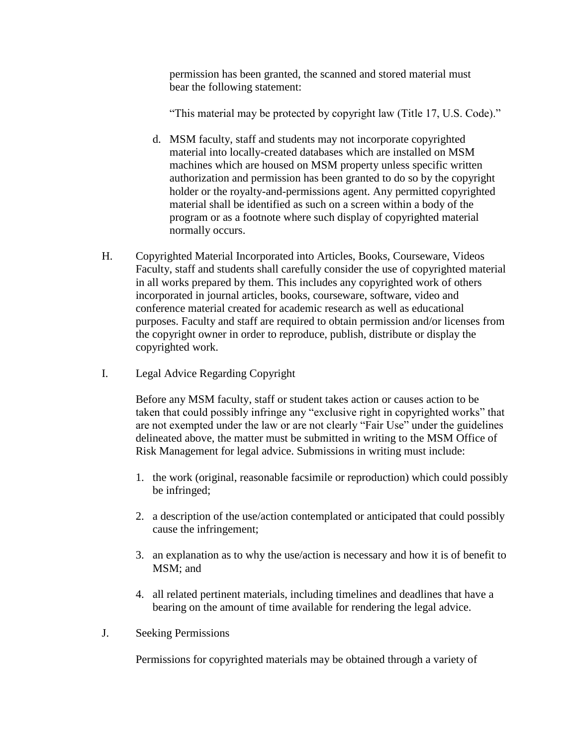permission has been granted, the scanned and stored material must bear the following statement:

"This material may be protected by copyright law (Title 17, U.S. Code)."

- d. MSM faculty, staff and students may not incorporate copyrighted material into locally-created databases which are installed on MSM machines which are housed on MSM property unless specific written authorization and permission has been granted to do so by the copyright holder or the royalty-and-permissions agent. Any permitted copyrighted material shall be identified as such on a screen within a body of the program or as a footnote where such display of copyrighted material normally occurs.
- H. Copyrighted Material Incorporated into Articles, Books, Courseware, Videos Faculty, staff and students shall carefully consider the use of copyrighted material in all works prepared by them. This includes any copyrighted work of others incorporated in journal articles, books, courseware, software, video and conference material created for academic research as well as educational purposes. Faculty and staff are required to obtain permission and/or licenses from the copyright owner in order to reproduce, publish, distribute or display the copyrighted work.
- I. Legal Advice Regarding Copyright

Before any MSM faculty, staff or student takes action or causes action to be taken that could possibly infringe any "exclusive right in copyrighted works" that are not exempted under the law or are not clearly "Fair Use" under the guidelines delineated above, the matter must be submitted in writing to the MSM Office of Risk Management for legal advice. Submissions in writing must include:

- 1. the work (original, reasonable facsimile or reproduction) which could possibly be infringed;
- 2. a description of the use/action contemplated or anticipated that could possibly cause the infringement;
- 3. an explanation as to why the use/action is necessary and how it is of benefit to MSM; and
- 4. all related pertinent materials, including timelines and deadlines that have a bearing on the amount of time available for rendering the legal advice.
- J. Seeking Permissions

Permissions for copyrighted materials may be obtained through a variety of